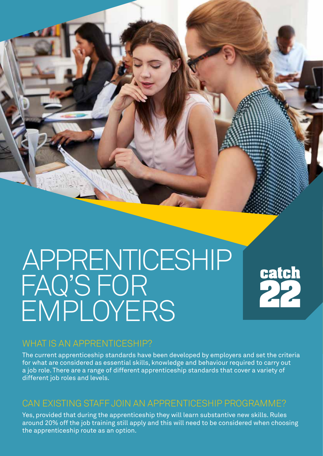# APPRENTICESHIP FAQ'S FOR EMPLOYERS

# catch<br>22

# WHAT IS AN APPRENTICESHIP?

The current apprenticeship standards have been developed by employers and set the criteria for what are considered as essential skills, knowledge and behaviour required to carry out a job role. There are a range of different apprenticeship standards that cover a variety of different job roles and levels.

# CAN EXISTING STAFF JOIN AN APPRENTICESHIP PROGRAMME?

Yes, provided that during the apprenticeship they will learn substantive new skills. Rules around 20% off the job training still apply and this will need to be considered when choosing the apprenticeship route as an option.